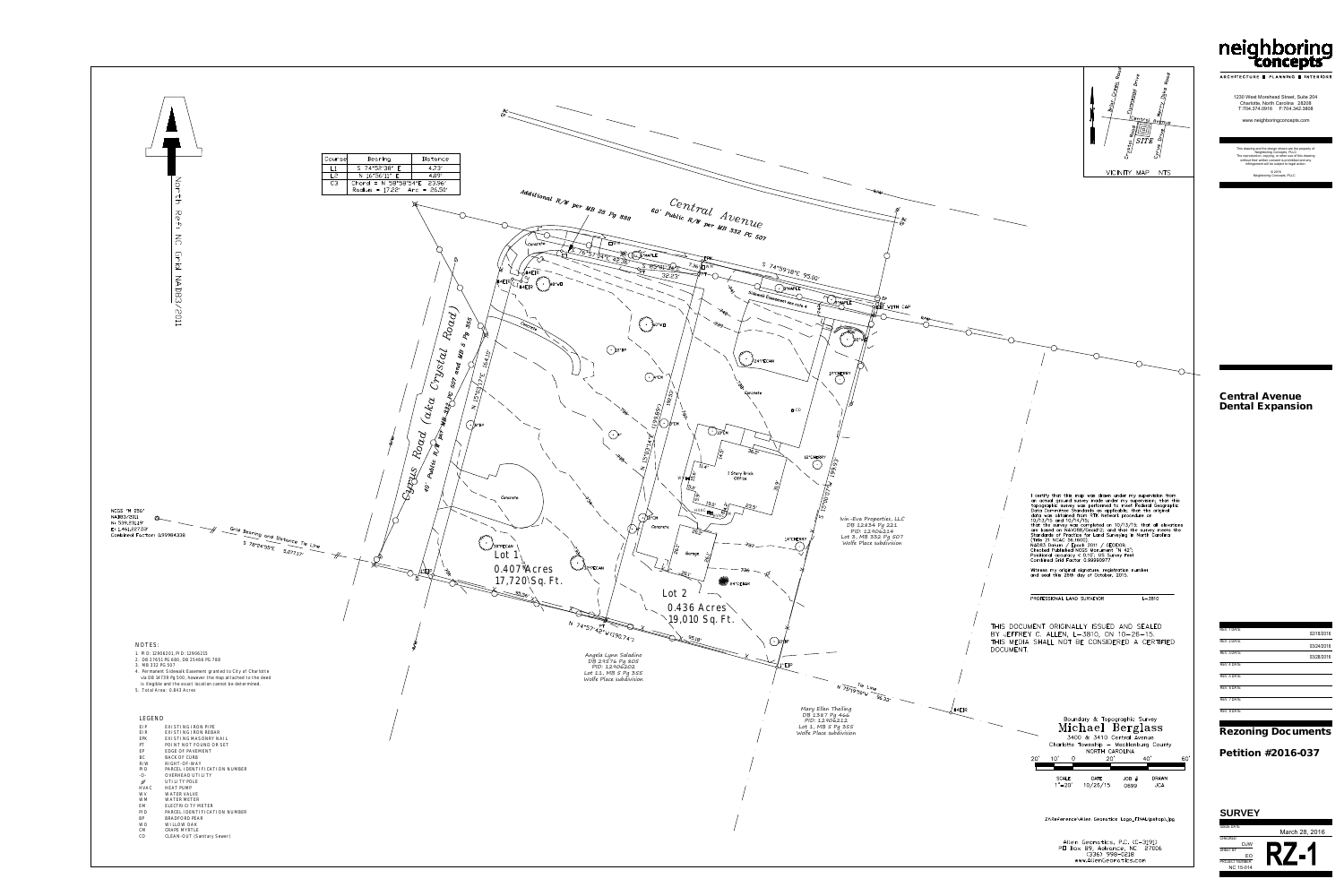